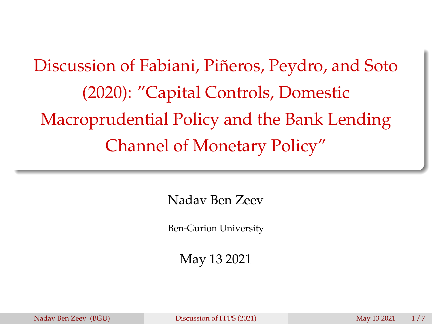<span id="page-0-0"></span>Discussion of Fabiani, Piñeros, Peydro, and Soto (2020): "Capital Controls, Domestic Macroprudential Policy and the Bank Lending Channel of Monetary Policy"

Nadav Ben Zeev

Ben-Gurion University

May 13 2021

Nadav Ben Zeev (BGU) [Discussion of FPPS \(2021\)](#page-7-0) May 13 2021 1/7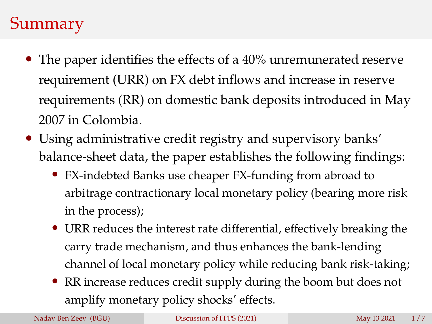## Summary

- The paper identifies the effects of a 40% unremunerated reserve requirement (URR) on FX debt inflows and increase in reserve requirements (RR) on domestic bank deposits introduced in May 2007 in Colombia.
- Using administrative credit registry and supervisory banks' balance-sheet data, the paper establishes the following findings:
	- FX-indebted Banks use cheaper FX-funding from abroad to arbitrage contractionary local monetary policy (bearing more risk in the process);
	- URR reduces the interest rate differential, effectively breaking the carry trade mechanism, and thus enhances the bank-lending channel of local monetary policy while reducing bank risk-taking;
	- RR increase reduces credit supply during the boom but does not amplify monetary policy shocks' effects.

Nadav Ben Zeev (BGU) [Discussion of FPPS \(2021\)](#page-0-0) May 13 2021 1/7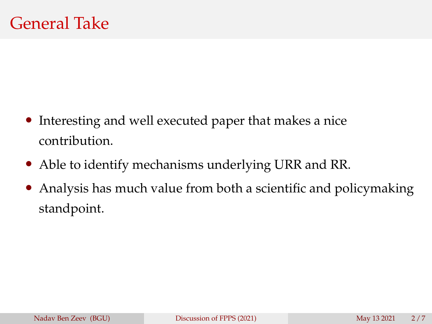- Interesting and well executed paper that makes a nice contribution.
- Able to identify mechanisms underlying URR and RR.
- Analysis has much value from both a scientific and policymaking standpoint.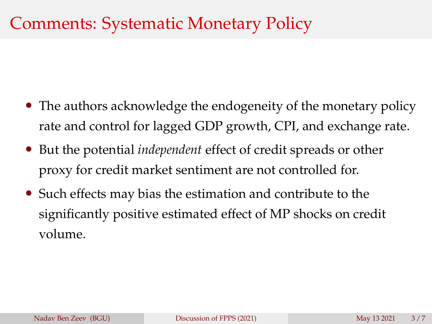### Comments: Systematic Monetary Policy

- The authors acknowledge the endogeneity of the monetary policy rate and control for lagged GDP growth, CPI, and exchange rate.
- But the potential *independent* effect of credit spreads or other proxy for credit market sentiment are not controlled for.
- Such effects may bias the estimation and contribute to the significantly positive estimated effect of MP shocks on credit volume.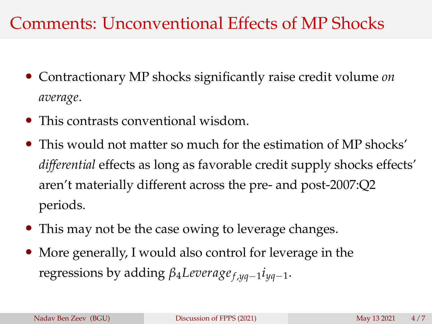### Comments: Unconventional Effects of MP Shocks

- Contractionary MP shocks significantly raise credit volume *on average*.
- This contrasts conventional wisdom.
- This would not matter so much for the estimation of MP shocks' *differential* effects as long as favorable credit supply shocks effects' aren't materially different across the pre- and post-2007:Q2 periods.
- This may not be the case owing to leverage changes.
- More generally, I would also control for leverage in the regressions by adding *β*4*Leverage<sup>f</sup>* ,*yq*−<sup>1</sup> *iyq*−1.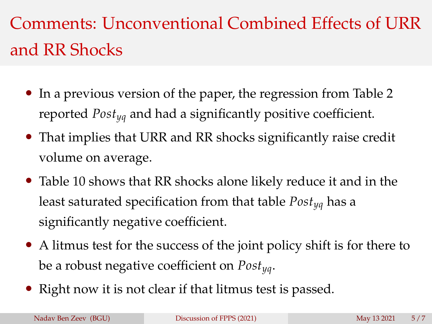# Comments: Unconventional Combined Effects of URR and RR Shocks

- In a previous version of the paper, the regression from Table 2 reported *Postyq* and had a significantly positive coefficient.
- That implies that URR and RR shocks significantly raise credit volume on average.
- Table 10 shows that RR shocks alone likely reduce it and in the least saturated specification from that table *Postyq* has a significantly negative coefficient.
- A litmus test for the success of the joint policy shift is for there to be a robust negative coefficient on *Postyq*.
- Right now it is not clear if that litmus test is passed.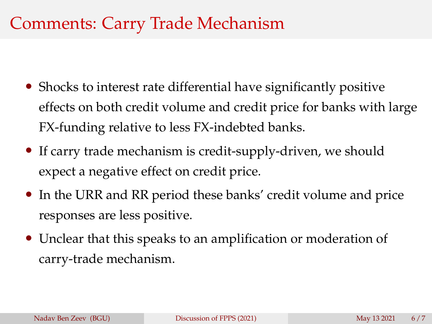#### Comments: Carry Trade Mechanism

- Shocks to interest rate differential have significantly positive effects on both credit volume and credit price for banks with large FX-funding relative to less FX-indebted banks.
- If carry trade mechanism is credit-supply-driven, we should expect a negative effect on credit price.
- In the URR and RR period these banks' credit volume and price responses are less positive.
- Unclear that this speaks to an amplification or moderation of carry-trade mechanism.